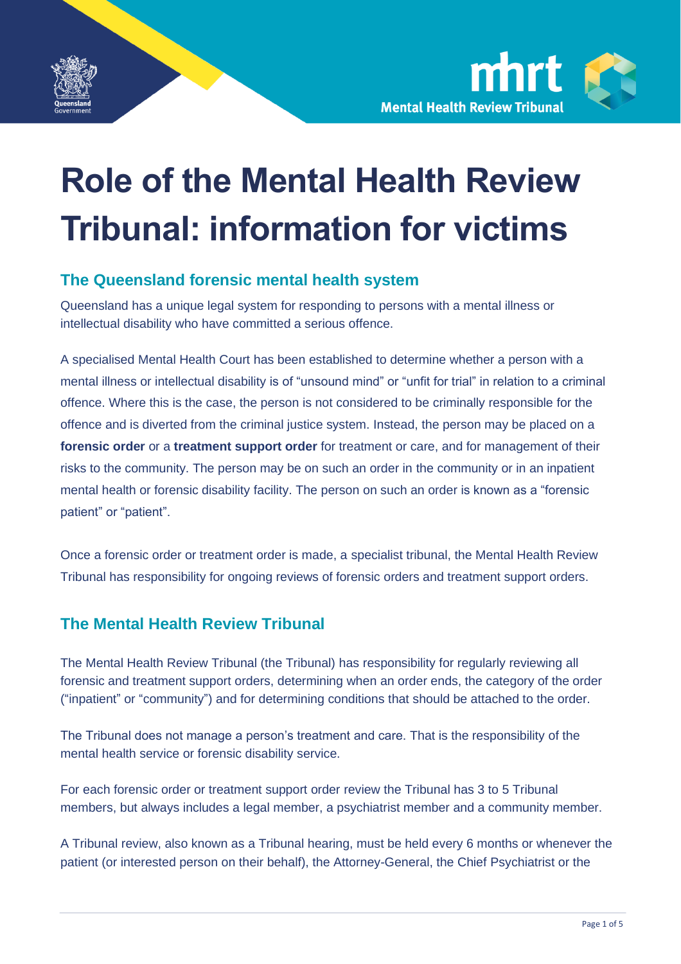



# **Role of the Mental Health Review Tribunal: information for victims**

#### **The Queensland forensic mental health system**

Queensland has a unique legal system for responding to persons with a mental illness or intellectual disability who have committed a serious offence.

A specialised Mental Health Court has been established to determine whether a person with a mental illness or intellectual disability is of "unsound mind" or "unfit for trial" in relation to a criminal offence. Where this is the case, the person is not considered to be criminally responsible for the offence and is diverted from the criminal justice system. Instead, the person may be placed on a **forensic order** or a **treatment support order** for treatment or care, and for management of their risks to the community. The person may be on such an order in the community or in an inpatient mental health or forensic disability facility. The person on such an order is known as a "forensic patient" or "patient".

Once a forensic order or treatment order is made, a specialist tribunal, the Mental Health Review Tribunal has responsibility for ongoing reviews of forensic orders and treatment support orders.

#### **The Mental Health Review Tribunal**

The Mental Health Review Tribunal (the Tribunal) has responsibility for regularly reviewing all forensic and treatment support orders, determining when an order ends, the category of the order ("inpatient" or "community") and for determining conditions that should be attached to the order.

The Tribunal does not manage a person's treatment and care. That is the responsibility of the mental health service or forensic disability service.

For each forensic order or treatment support order review the Tribunal has 3 to 5 Tribunal members, but always includes a legal member, a psychiatrist member and a community member.

A Tribunal review, also known as a Tribunal hearing, must be held every 6 months or whenever the patient (or interested person on their behalf), the Attorney-General, the Chief Psychiatrist or the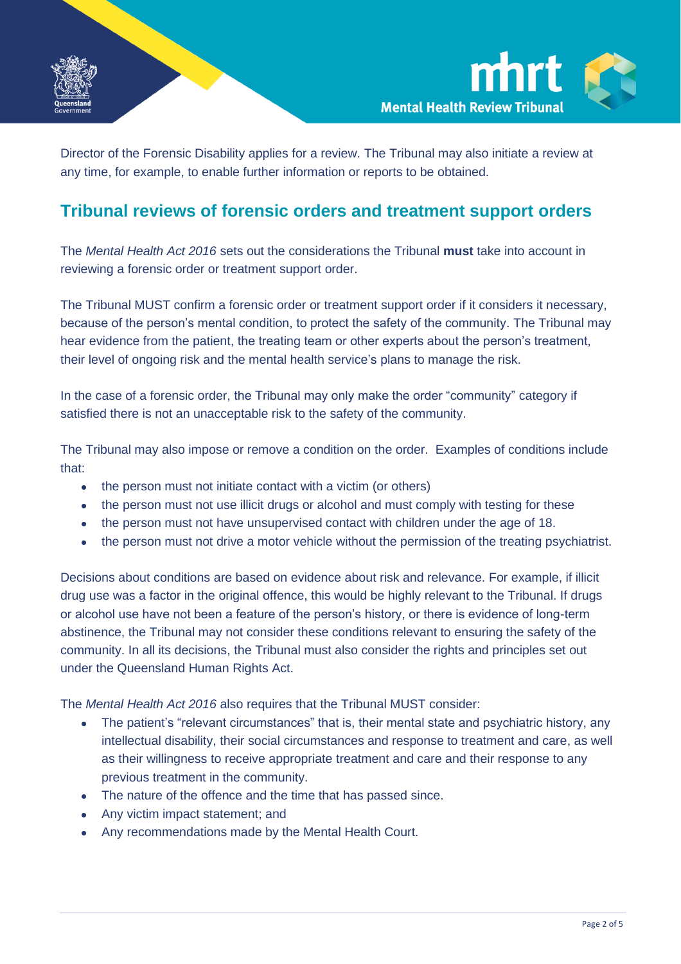



Director of the Forensic Disability applies for a review. The Tribunal may also initiate a review at any time, for example, to enable further information or reports to be obtained.

#### **Tribunal reviews of forensic orders and treatment support orders**

The *Mental Health Act 2016* sets out the considerations the Tribunal **must** take into account in reviewing a forensic order or treatment support order.

The Tribunal MUST confirm a forensic order or treatment support order if it considers it necessary, because of the person's mental condition, to protect the safety of the community. The Tribunal may hear evidence from the patient, the treating team or other experts about the person's treatment, their level of ongoing risk and the mental health service's plans to manage the risk.

In the case of a forensic order, the Tribunal may only make the order "community" category if satisfied there is not an unacceptable risk to the safety of the community.

The Tribunal may also impose or remove a condition on the order. Examples of conditions include that:

- the person must not initiate contact with a victim (or others)
- the person must not use illicit drugs or alcohol and must comply with testing for these
- the person must not have unsupervised contact with children under the age of 18.
- the person must not drive a motor vehicle without the permission of the treating psychiatrist.

Decisions about conditions are based on evidence about risk and relevance. For example, if illicit drug use was a factor in the original offence, this would be highly relevant to the Tribunal. If drugs or alcohol use have not been a feature of the person's history, or there is evidence of long-term abstinence, the Tribunal may not consider these conditions relevant to ensuring the safety of the community. In all its decisions, the Tribunal must also consider the rights and principles set out under the Queensland Human Rights Act.

The *Mental Health Act 2016* also requires that the Tribunal MUST consider:

- The patient's "relevant circumstances" that is, their mental state and psychiatric history, any intellectual disability, their social circumstances and response to treatment and care, as well as their willingness to receive appropriate treatment and care and their response to any previous treatment in the community.
- The nature of the offence and the time that has passed since.
- Any victim impact statement; and
- Any recommendations made by the Mental Health Court.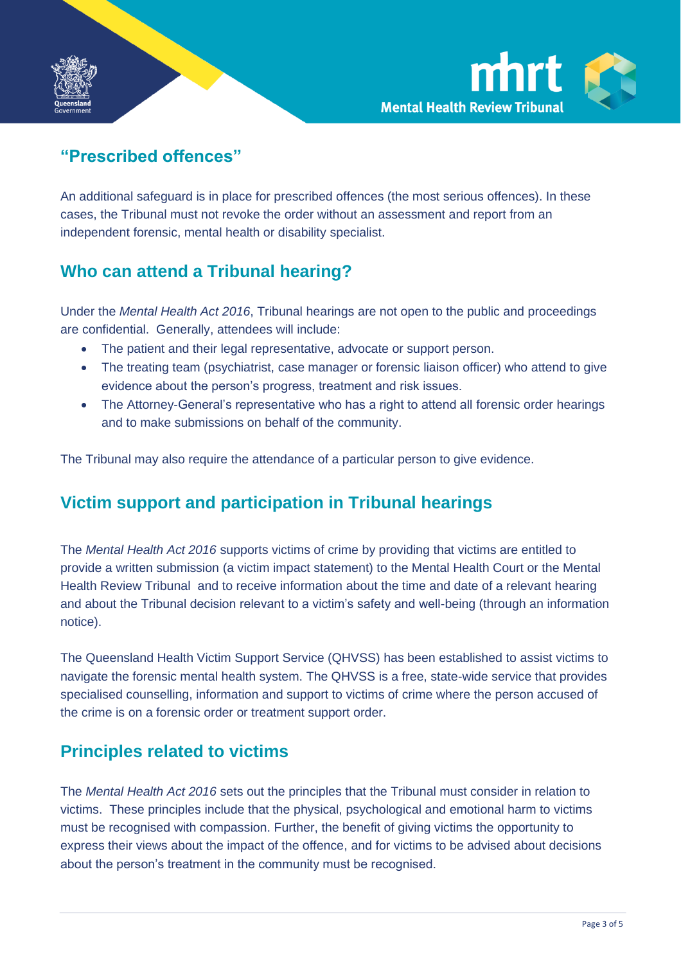



## **"Prescribed offences"**

An additional safeguard is in place for prescribed offences (the most serious offences). In these cases, the Tribunal must not revoke the order without an assessment and report from an independent forensic, mental health or disability specialist.

## **Who can attend a Tribunal hearing?**

Under the *Mental Health Act 2016*, Tribunal hearings are not open to the public and proceedings are confidential. Generally, attendees will include:

- The patient and their legal representative, advocate or support person.
- The treating team (psychiatrist, case manager or forensic liaison officer) who attend to give evidence about the person's progress, treatment and risk issues.
- The Attorney-General's representative who has a right to attend all forensic order hearings and to make submissions on behalf of the community.

The Tribunal may also require the attendance of a particular person to give evidence.

## **Victim support and participation in Tribunal hearings**

The *Mental Health Act 2016* supports victims of crime by providing that victims are entitled to provide a written submission (a victim impact statement) to the Mental Health Court or the Mental Health Review Tribunal and to receive information about the time and date of a relevant hearing and about the Tribunal decision relevant to a victim's safety and well-being (through an information notice).

The Queensland Health Victim Support Service (QHVSS) has been established to assist victims to navigate the forensic mental health system. The QHVSS is a free, state-wide service that provides specialised counselling, information and support to victims of crime where the person accused of the crime is on a forensic order or treatment support order.

#### **Principles related to victims**

The *Mental Health Act 2016* sets out the principles that the Tribunal must consider in relation to victims. These principles include that the physical, psychological and emotional harm to victims must be recognised with compassion. Further, the benefit of giving victims the opportunity to express their views about the impact of the offence, and for victims to be advised about decisions about the person's treatment in the community must be recognised.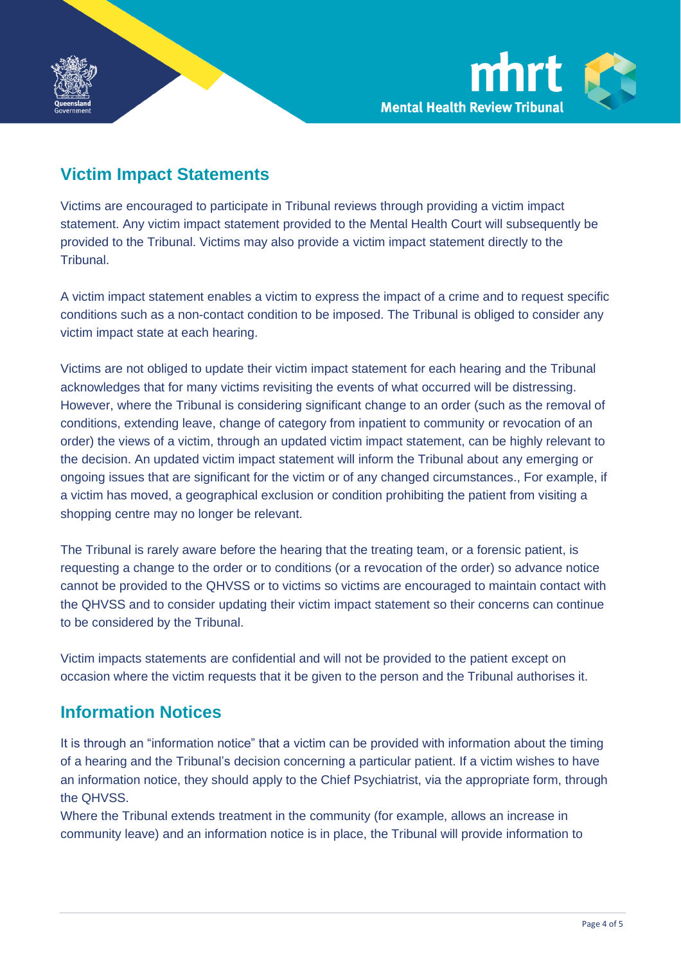

## **Victim Impact Statements**

Victims are encouraged to participate in Tribunal reviews through providing a victim impact statement. Any victim impact statement provided to the Mental Health Court will subsequently be provided to the Tribunal. Victims may also provide a victim impact statement directly to the Tribunal.

A victim impact statement enables a victim to express the impact of a crime and to request specific conditions such as a non-contact condition to be imposed. The Tribunal is obliged to consider any victim impact state at each hearing.

Victims are not obliged to update their victim impact statement for each hearing and the Tribunal acknowledges that for many victims revisiting the events of what occurred will be distressing. However, where the Tribunal is considering significant change to an order (such as the removal of conditions, extending leave, change of category from inpatient to community or revocation of an order) the views of a victim, through an updated victim impact statement, can be highly relevant to the decision. An updated victim impact statement will inform the Tribunal about any emerging or ongoing issues that are significant for the victim or of any changed circumstances., For example, if a victim has moved, a geographical exclusion or condition prohibiting the patient from visiting a shopping centre may no longer be relevant.

The Tribunal is rarely aware before the hearing that the treating team, or a forensic patient, is requesting a change to the order or to conditions (or a revocation of the order) so advance notice cannot be provided to the QHVSS or to victims so victims are encouraged to maintain contact with the QHVSS and to consider updating their victim impact statement so their concerns can continue to be considered by the Tribunal.

Victim impacts statements are confidential and will not be provided to the patient except on occasion where the victim requests that it be given to the person and the Tribunal authorises it.

## **Information Notices**

It is through an "information notice" that a victim can be provided with information about the timing of a hearing and the Tribunal's decision concerning a particular patient. If a victim wishes to have an information notice, they should apply to the Chief Psychiatrist, via the appropriate form, through the QHVSS.

Where the Tribunal extends treatment in the community (for example, allows an increase in community leave) and an information notice is in place, the Tribunal will provide information to